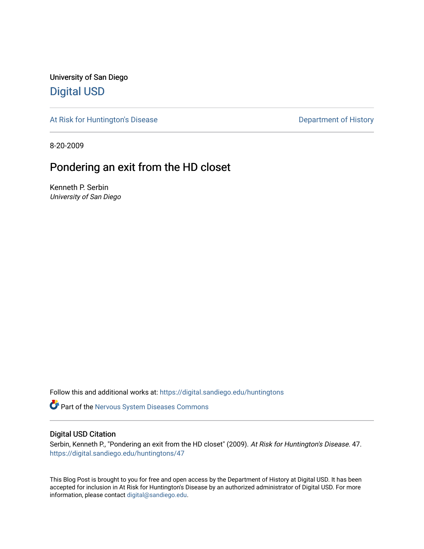University of San Diego [Digital USD](https://digital.sandiego.edu/)

[At Risk for Huntington's Disease](https://digital.sandiego.edu/huntingtons) **Department of History** Department of History

8-20-2009

## Pondering an exit from the HD closet

Kenneth P. Serbin University of San Diego

Follow this and additional works at: [https://digital.sandiego.edu/huntingtons](https://digital.sandiego.edu/huntingtons?utm_source=digital.sandiego.edu%2Fhuntingtons%2F47&utm_medium=PDF&utm_campaign=PDFCoverPages)

**Part of the [Nervous System Diseases Commons](http://network.bepress.com/hgg/discipline/928?utm_source=digital.sandiego.edu%2Fhuntingtons%2F47&utm_medium=PDF&utm_campaign=PDFCoverPages)** 

## Digital USD Citation

Serbin, Kenneth P., "Pondering an exit from the HD closet" (2009). At Risk for Huntington's Disease. 47. [https://digital.sandiego.edu/huntingtons/47](https://digital.sandiego.edu/huntingtons/47?utm_source=digital.sandiego.edu%2Fhuntingtons%2F47&utm_medium=PDF&utm_campaign=PDFCoverPages)

This Blog Post is brought to you for free and open access by the Department of History at Digital USD. It has been accepted for inclusion in At Risk for Huntington's Disease by an authorized administrator of Digital USD. For more information, please contact [digital@sandiego.edu.](mailto:digital@sandiego.edu)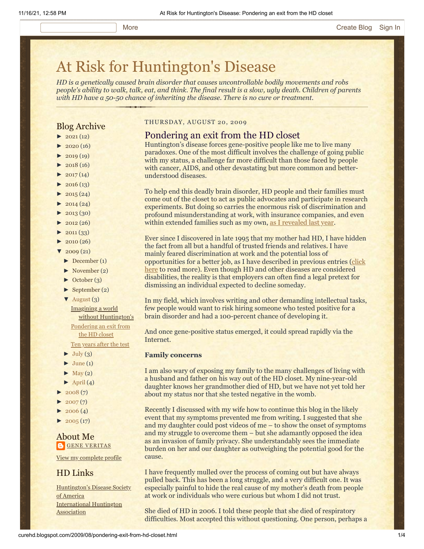# [At Risk for Huntington's Disease](http://curehd.blogspot.com/)

*HD is a genetically caused brain disorder that causes uncontrollable bodily movements and robs people's ability to walk, talk, eat, and think. The final result is a slow, ugly death. Children of parents with HD have a 50-50 chance of inheriting the disease. There is no cure or treatment.*

## Blog Archive

- $\blacktriangleright$  [2021](http://curehd.blogspot.com/2021/)(12)
- $2020(16)$  $2020(16)$
- $\blacktriangleright$  [2019](http://curehd.blogspot.com/2019/) (19)
- $\blacktriangleright$  [2018](http://curehd.blogspot.com/2018/) (16)
- $2017(14)$  $2017(14)$
- $2016(13)$  $2016(13)$
- $\blacktriangleright$  [2015](http://curehd.blogspot.com/2015/) (24)
- $\blacktriangleright$  [2014](http://curehd.blogspot.com/2014/) (24)
- $\blacktriangleright$  [2013](http://curehd.blogspot.com/2013/) (30)
- $\blacktriangleright$  [2012](http://curehd.blogspot.com/2012/) (26)
- $\blacktriangleright$  [2011](http://curehd.blogspot.com/2011/) (33)
- $\blacktriangleright$  [2010](http://curehd.blogspot.com/2010/) (26)
- $2009(21)$  $2009(21)$
- [►](javascript:void(0)) [December](http://curehd.blogspot.com/2009/12/) (1)
- [►](javascript:void(0)) [November](http://curehd.blogspot.com/2009/11/) (2)
- [►](javascript:void(0)) [October](http://curehd.blogspot.com/2009/10/) (3)
- [►](javascript:void(0)) [September](http://curehd.blogspot.com/2009/09/) (2)
- [▼](javascript:void(0)) [August](http://curehd.blogspot.com/2009/08/) (3)

Imagining a world without [Huntington's](http://curehd.blogspot.com/2009/08/imagining-world-without-huntingtons.html) [Pondering](http://curehd.blogspot.com/2009/08/pondering-exit-from-hd-closet.html) an exit from

the HD closet

Ten [years](http://curehd.blogspot.com/2009/08/ten-years-after-test.html) after the test

- $\blacktriangleright$  [July](http://curehd.blogspot.com/2009/07/) (3)
- $\blacktriangleright$  [June](http://curehd.blogspot.com/2009/06/) (1)
- $\blacktriangleright$  [May](http://curehd.blogspot.com/2009/05/) (2)
- $\blacktriangleright$  [April](http://curehd.blogspot.com/2009/04/) (4)
- $2008(7)$  $2008(7)$
- $2007(7)$  $2007(7)$
- $2006(4)$  $2006(4)$
- $\blacktriangleright$  [2005](http://curehd.blogspot.com/2005/) (17)

## About Me **GENE [VERITAS](https://www.blogger.com/profile/10911736205741688185)**

View my [complete](https://www.blogger.com/profile/10911736205741688185) profile

## HD Links

[Huntington's](http://www.hdsa.org/) Disease Society of America [International](http://www.huntington-assoc.com/) Huntington **Association** 

## THURSDAY, AUGUST 20, 2009

## Pondering an exit from the HD closet

Huntington's disease forces gene-positive people like me to live many paradoxes. One of the most difficult involves the challenge of going public with my status, a challenge far more difficult than those faced by people with cancer, AIDS, and other devastating but more common and betterunderstood diseases.

To help end this deadly brain disorder, HD people and their families must come out of the closet to act as public advocates and participate in research experiments. But doing so carries the enormous risk of discrimination and profound misunderstanding at work, with insurance companies, and even within extended families such as my own, [as I revealed last year](http://curehd.blogspot.com/2008/09/disease-denial-and-support-many-kinds.html).

Ever since I discovered in late 1995 that my mother had HD, I have hidden the fact from all but a handful of trusted friends and relatives. I have mainly feared discrimination at work and the potential loss of [opportunities for a better job, as I have described in previous entries \(click](http://curehd.blogspot.com/2005/02/to-go-or-not-to-go-public.html) here to read more). Even though HD and other diseases are considered disabilities, the reality is that employers can often find a legal pretext for dismissing an individual expected to decline someday.

In my field, which involves writing and other demanding intellectual tasks, few people would want to risk hiring someone who tested positive for a brain disorder and had a 100-percent chance of developing it.

And once gene-positive status emerged, it could spread rapidly via the Internet.

### **Family concerns**

I am also wary of exposing my family to the many challenges of living with a husband and father on his way out of the HD closet. My nine-year-old daughter knows her grandmother died of HD, but we have not yet told her about my status nor that she tested negative in the womb.

Recently I discussed with my wife how to continue this blog in the likely event that my symptoms prevented me from writing. I suggested that she and my daughter could post videos of me – to show the onset of symptoms and my struggle to overcome them – but she adamantly opposed the idea as an invasion of family privacy. She understandably sees the immediate burden on her and our daughter as outweighing the potential good for the cause.

I have frequently mulled over the process of coming out but have always pulled back. This has been a long struggle, and a very difficult one. It was especially painful to hide the real cause of my mother's death from people at work or individuals who were curious but whom I did not trust.

She died of HD in 2006. I told these people that she died of respiratory difficulties. Most accepted this without questioning. One person, perhaps a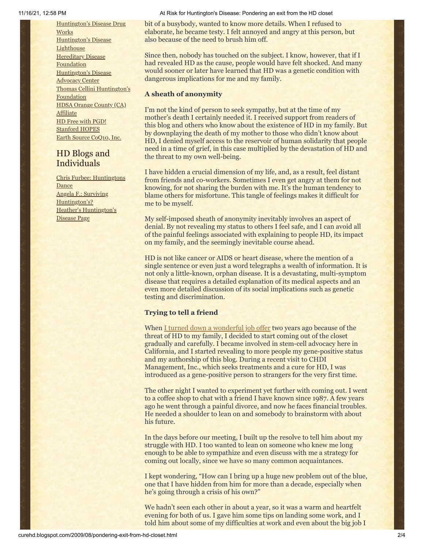[Huntington's](http://hddrugworks.org/) Disease Drug **Works** [Huntington's](http://www.hdlighthouse.org/) Disease **Lighthouse Hereditary Disease [Foundation](http://www.hdfoundation.org/)** [Huntington's](http://www.hdac.org/) Disease Advocacy Center Thomas [Cellini Huntington's](http://www.ourtchfoundation.org/) Foundation HDSA Orange County (CA) **[Affiliate](http://www.hdsaoc.org/)** HD Free with [PGD!](http://www.hdfreewithpgd.com/) [Stanford](http://www.stanford.edu/group/hopes/) HOPES Earth Source [CoQ10,](http://www.escoq10.com/) Inc.

## HD Blogs and Individuals

Chris Furbee: [Huntingtons](http://www.huntingtonsdance.org/) **Dance** Angela F.: Surviving [Huntington's?](http://survivinghuntingtons.blogspot.com/) Heather's [Huntington's](http://heatherdugdale.angelfire.com/) Disease Page

#### 11/16/21, 12:58 PM At Risk for Huntington's Disease: Pondering an exit from the HD closet

bit of a busybody, wanted to know more details. When I refused to elaborate, he became testy. I felt annoyed and angry at this person, but also because of the need to brush him off.

Since then, nobody has touched on the subject. I know, however, that if I had revealed HD as the cause, people would have felt shocked. And many would sooner or later have learned that HD was a genetic condition with dangerous implications for me and my family.

## **A sheath of anonymity**

I'm not the kind of person to seek sympathy, but at the time of my mother's death I certainly needed it. I received support from readers of this blog and others who know about the existence of HD in my family. But by downplaying the death of my mother to those who didn't know about HD, I denied myself access to the reservoir of human solidarity that people need in a time of grief, in this case multiplied by the devastation of HD and the threat to my own well-being.

I have hidden a crucial dimension of my life, and, as a result, feel distant from friends and co-workers. Sometimes I even get angry at them for not knowing, for not sharing the burden with me. It's the human tendency to blame others for misfortune. This tangle of feelings makes it difficult for me to be myself.

My self-imposed sheath of anonymity inevitably involves an aspect of denial. By not revealing my status to others I feel safe, and I can avoid all of the painful feelings associated with explaining to people HD, its impact on my family, and the seemingly inevitable course ahead.

HD is not like cancer or AIDS or heart disease, where the mention of a single sentence or even just a word telegraphs a wealth of information. It is not only a little-known, orphan disease. It is a devastating, multi-symptom disease that requires a detailed explanation of its medical aspects and an even more detailed discussion of its social implications such as genetic testing and discrimination.

## **Trying to tell a friend**

When [I turned down a wonderful job offer](http://curehd.blogspot.com/2007/09/complications-and-stress-of-success.html) two years ago because of the threat of HD to my family, I decided to start coming out of the closet gradually and carefully. I became involved in stem-cell advocacy here in California, and I started revealing to more people my gene-positive status and my authorship of this blog. During a recent visit to CHDI Management, Inc., which seeks treatments and a cure for HD, I was introduced as a gene-positive person to strangers for the very first time.

The other night I wanted to experiment yet further with coming out. I went to a coffee shop to chat with a friend I have known since 1987. A few years ago he went through a painful divorce, and now he faces financial troubles. He needed a shoulder to lean on and somebody to brainstorm with about his future.

In the days before our meeting, I built up the resolve to tell him about my struggle with HD. I too wanted to lean on someone who knew me long enough to be able to sympathize and even discuss with me a strategy for coming out locally, since we have so many common acquaintances.

I kept wondering, "How can I bring up a huge new problem out of the blue, one that I have hidden from him for more than a decade, especially when he's going through a crisis of his own?"

We hadn't seen each other in about a year, so it was a warm and heartfelt evening for both of us. I gave him some tips on landing some work, and I told him about some of my difficulties at work and even about the big job I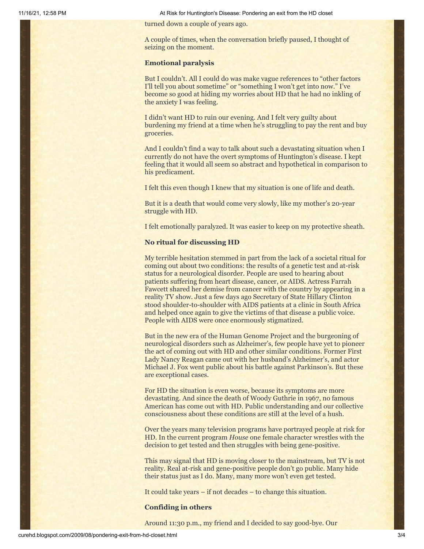11/16/21, 12:58 PM At Risk for Huntington's Disease: Pondering an exit from the HD closet

turned down a couple of years ago.

A couple of times, when the conversation briefly paused, I thought of seizing on the moment.

#### **Emotional paralysis**

But I couldn't. All I could do was make vague references to "other factors I'll tell you about sometime" or "something I won't get into now." I've become so good at hiding my worries about HD that he had no inkling of the anxiety I was feeling.

I didn't want HD to ruin our evening. And I felt very guilty about burdening my friend at a time when he's struggling to pay the rent and buy groceries.

And I couldn't find a way to talk about such a devastating situation when I currently do not have the overt symptoms of Huntington's disease. I kept feeling that it would all seem so abstract and hypothetical in comparison to his predicament.

I felt this even though I knew that my situation is one of life and death.

But it is a death that would come very slowly, like my mother's 20-year struggle with HD.

I felt emotionally paralyzed. It was easier to keep on my protective sheath.

#### **No ritual for discussing HD**

My terrible hesitation stemmed in part from the lack of a societal ritual for coming out about two conditions: the results of a genetic test and at-risk status for a neurological disorder. People are used to hearing about patients suffering from heart disease, cancer, or AIDS. Actress Farrah Fawcett shared her demise from cancer with the country by appearing in a reality TV show. Just a few days ago Secretary of State Hillary Clinton stood shoulder-to-shoulder with AIDS patients at a clinic in South Africa and helped once again to give the victims of that disease a public voice. People with AIDS were once enormously stigmatized.

But in the new era of the Human Genome Project and the burgeoning of neurological disorders such as Alzheimer's, few people have yet to pioneer the act of coming out with HD and other similar conditions. Former First Lady Nancy Reagan came out with her husband's Alzheimer's, and actor Michael J. Fox went public about his battle against Parkinson's. But these are exceptional cases.

For HD the situation is even worse, because its symptoms are more devastating. And since the death of Woody Guthrie in 1967, no famous American has come out with HD. Public understanding and our collective consciousness about these conditions are still at the level of a hush.

Over the years many television programs have portrayed people at risk for HD. In the current program *House* one female character wrestles with the decision to get tested and then struggles with being gene-positive.

This may signal that HD is moving closer to the mainstream, but TV is not reality. Real at-risk and gene-positive people don't go public. Many hide their status just as I do. Many, many more won't even get tested.

It could take years – if not decades – to change this situation.

## **Confiding in others**

Around 11:30 p.m., my friend and I decided to say good-bye. Our